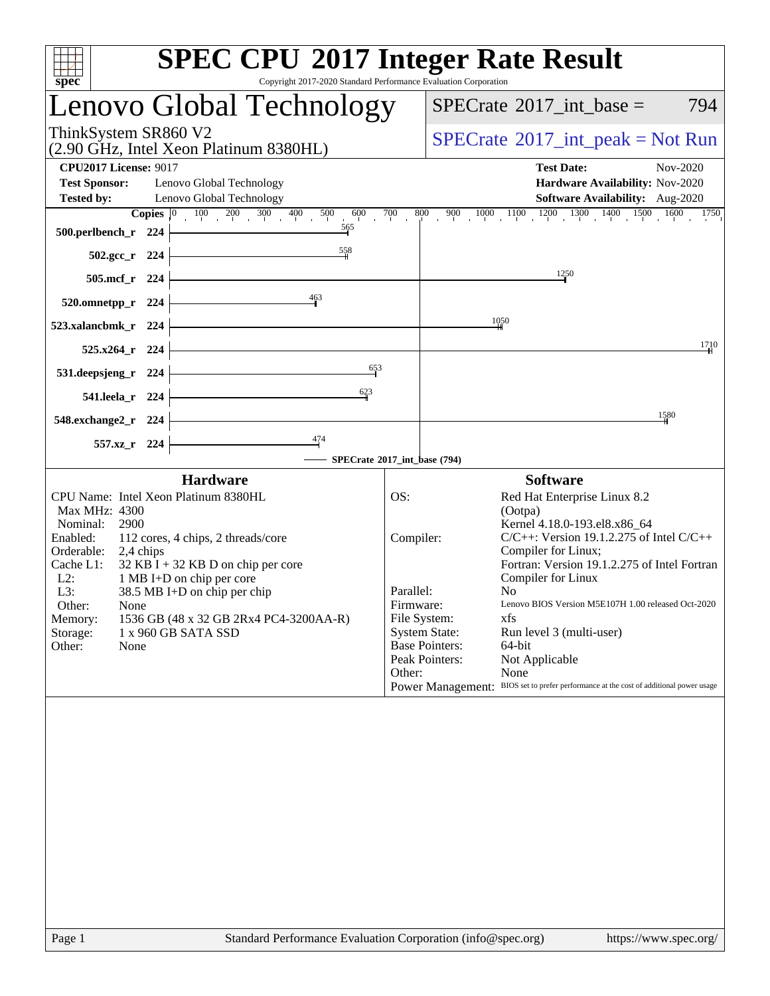| spec                                                                                                                                                                                                                                                                                                                                                                                                                  | <b>SPEC CPU®2017 Integer Rate Result</b><br>Copyright 2017-2020 Standard Performance Evaluation Corporation                                                                                                                                                                                                                                                                                                                                                                                                                                                                                               |
|-----------------------------------------------------------------------------------------------------------------------------------------------------------------------------------------------------------------------------------------------------------------------------------------------------------------------------------------------------------------------------------------------------------------------|-----------------------------------------------------------------------------------------------------------------------------------------------------------------------------------------------------------------------------------------------------------------------------------------------------------------------------------------------------------------------------------------------------------------------------------------------------------------------------------------------------------------------------------------------------------------------------------------------------------|
| Lenovo Global Technology                                                                                                                                                                                                                                                                                                                                                                                              | $SPECrate^{\circ}2017\_int\_base =$<br>794                                                                                                                                                                                                                                                                                                                                                                                                                                                                                                                                                                |
| ThinkSystem SR860 V2<br>(2.90 GHz, Intel Xeon Platinum 8380HL)                                                                                                                                                                                                                                                                                                                                                        | $SPECTate@2017_int\_peak = Not Run$                                                                                                                                                                                                                                                                                                                                                                                                                                                                                                                                                                       |
| <b>CPU2017 License: 9017</b><br><b>Test Sponsor:</b><br>Lenovo Global Technology<br><b>Tested by:</b><br>Lenovo Global Technology                                                                                                                                                                                                                                                                                     | <b>Test Date:</b><br>Nov-2020<br>Hardware Availability: Nov-2020<br>Software Availability: Aug-2020                                                                                                                                                                                                                                                                                                                                                                                                                                                                                                       |
| <b>Copies</b> $\begin{bmatrix} 0 & 100 & 200 & 300 & 400 & 500 & 600 \end{bmatrix}$<br>565<br>500.perlbench_r 224                                                                                                                                                                                                                                                                                                     | $900$ $1000$ $1100$ $1200$ $1300$ $1400$ $1500$ $1600$ $1750$<br>800<br>700                                                                                                                                                                                                                                                                                                                                                                                                                                                                                                                               |
| 558<br>502.gcc_r 224<br>505.mcf_r 224                                                                                                                                                                                                                                                                                                                                                                                 | 1250                                                                                                                                                                                                                                                                                                                                                                                                                                                                                                                                                                                                      |
| 463<br>520.omnetpp_r 224<br>523.xalancbmk_r 224                                                                                                                                                                                                                                                                                                                                                                       | 1050                                                                                                                                                                                                                                                                                                                                                                                                                                                                                                                                                                                                      |
| 525.x264_r 224                                                                                                                                                                                                                                                                                                                                                                                                        | 1710                                                                                                                                                                                                                                                                                                                                                                                                                                                                                                                                                                                                      |
| 653<br>531.deepsjeng_r 224<br>$\frac{623}{9}$<br>541.leela_r 224                                                                                                                                                                                                                                                                                                                                                      |                                                                                                                                                                                                                                                                                                                                                                                                                                                                                                                                                                                                           |
| 548.exchange2_r 224                                                                                                                                                                                                                                                                                                                                                                                                   | 1580                                                                                                                                                                                                                                                                                                                                                                                                                                                                                                                                                                                                      |
| 557.xz_r 224                                                                                                                                                                                                                                                                                                                                                                                                          | SPECrate®2017_int_base (794)                                                                                                                                                                                                                                                                                                                                                                                                                                                                                                                                                                              |
| <b>Hardware</b>                                                                                                                                                                                                                                                                                                                                                                                                       | <b>Software</b>                                                                                                                                                                                                                                                                                                                                                                                                                                                                                                                                                                                           |
| CPU Name: Intel Xeon Platinum 8380HL<br>Max MHz: 4300<br>Nominal:<br>2900<br>Enabled:<br>112 cores, 4 chips, 2 threads/core<br>Orderable:<br>2,4 chips<br>$32$ KB I + 32 KB D on chip per core<br>Cache L1:<br>$L2$ :<br>1 MB I+D on chip per core<br>L3:<br>38.5 MB I+D on chip per chip<br>Other:<br>None<br>Memory:<br>1536 GB (48 x 32 GB 2Rx4 PC4-3200AA-R)<br>1 x 960 GB SATA SSD<br>Storage:<br>Other:<br>None | OS:<br>Red Hat Enterprise Linux 8.2<br>(Ootpa)<br>Kernel 4.18.0-193.el8.x86 64<br>$C/C++$ : Version 19.1.2.275 of Intel $C/C++$<br>Compiler:<br>Compiler for Linux;<br>Fortran: Version 19.1.2.275 of Intel Fortran<br>Compiler for Linux<br>Parallel:<br>N <sub>0</sub><br>Lenovo BIOS Version M5E107H 1.00 released Oct-2020<br>Firmware:<br>File System:<br>xfs<br><b>System State:</b><br>Run level 3 (multi-user)<br><b>Base Pointers:</b><br>64-bit<br>Peak Pointers:<br>Not Applicable<br>Other:<br>None<br>Power Management: BIOS set to prefer performance at the cost of additional power usage |
|                                                                                                                                                                                                                                                                                                                                                                                                                       |                                                                                                                                                                                                                                                                                                                                                                                                                                                                                                                                                                                                           |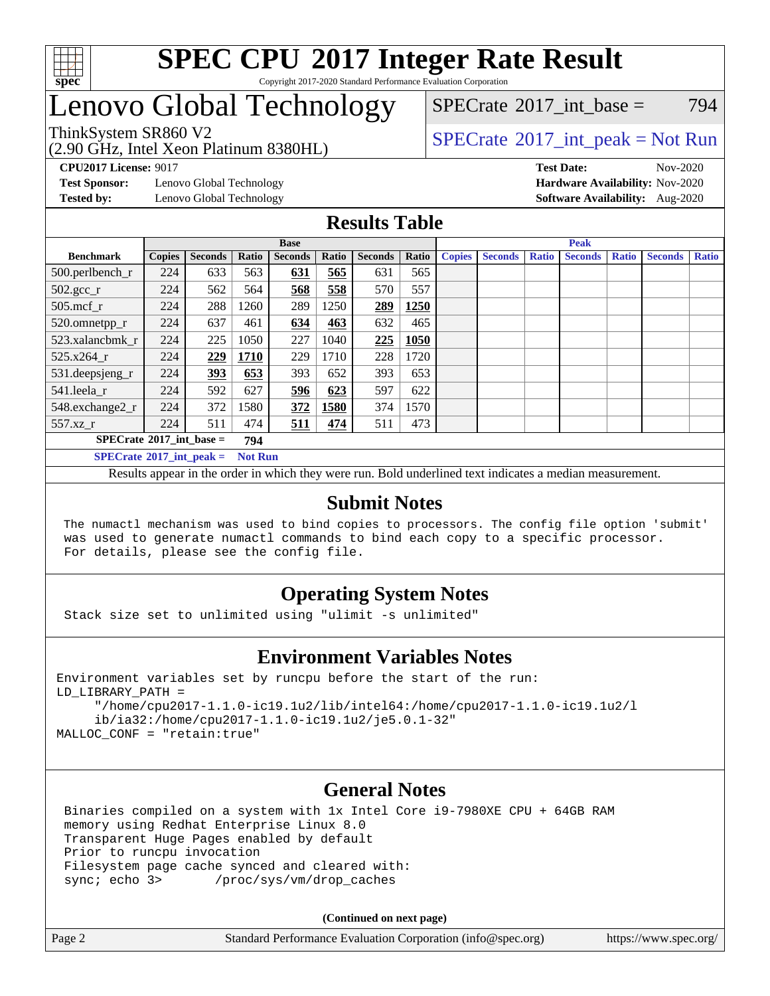

#### **[SPEC CPU](http://www.spec.org/auto/cpu2017/Docs/result-fields.html#SPECCPU2017IntegerRateResult)[2017 Integer Rate Result](http://www.spec.org/auto/cpu2017/Docs/result-fields.html#SPECCPU2017IntegerRateResult)** Copyright 2017-2020 Standard Performance Evaluation Corporation

## Lenovo Global Technology

(2.90 GHz, Intel Xeon Platinum 8380HL)

 $SPECTate@2017$  int base = 794

### ThinkSystem SR860 V2<br>  $\begin{array}{c} \text{SPECrate} \textcirc 2017\_int\_peak = Not Run \end{array}$  $\begin{array}{c} \text{SPECrate} \textcirc 2017\_int\_peak = Not Run \end{array}$  $\begin{array}{c} \text{SPECrate} \textcirc 2017\_int\_peak = Not Run \end{array}$

**[CPU2017 License:](http://www.spec.org/auto/cpu2017/Docs/result-fields.html#CPU2017License)** 9017 **[Test Date:](http://www.spec.org/auto/cpu2017/Docs/result-fields.html#TestDate)** Nov-2020

**[Test Sponsor:](http://www.spec.org/auto/cpu2017/Docs/result-fields.html#TestSponsor)** Lenovo Global Technology **[Hardware Availability:](http://www.spec.org/auto/cpu2017/Docs/result-fields.html#HardwareAvailability)** Nov-2020

**[Tested by:](http://www.spec.org/auto/cpu2017/Docs/result-fields.html#Testedby)** Lenovo Global Technology **[Software Availability:](http://www.spec.org/auto/cpu2017/Docs/result-fields.html#SoftwareAvailability)** Aug-2020

### **[Results Table](http://www.spec.org/auto/cpu2017/Docs/result-fields.html#ResultsTable)**

|                                                       | <b>Base</b>   |                |       |                | <b>Peak</b> |                |       |               |                |              |                |              |                |              |
|-------------------------------------------------------|---------------|----------------|-------|----------------|-------------|----------------|-------|---------------|----------------|--------------|----------------|--------------|----------------|--------------|
| <b>Benchmark</b>                                      | <b>Copies</b> | <b>Seconds</b> | Ratio | <b>Seconds</b> | Ratio       | <b>Seconds</b> | Ratio | <b>Copies</b> | <b>Seconds</b> | <b>Ratio</b> | <b>Seconds</b> | <b>Ratio</b> | <b>Seconds</b> | <b>Ratio</b> |
| $500.$ perlbench_r                                    | 224           | 633            | 563   | 631            | 565         | 631            | 565   |               |                |              |                |              |                |              |
| $502.\text{gcc}$ _r                                   | 224           | 562            | 564   | 568            | 558         | 570            | 557   |               |                |              |                |              |                |              |
| $505$ .mcf r                                          | 224           | 288            | 1260  | 289            | 1250        | 289            | 1250  |               |                |              |                |              |                |              |
| 520.omnetpp_r                                         | 224           | 637            | 461   | 634            | 463         | 632            | 465   |               |                |              |                |              |                |              |
| 523.xalancbmk r                                       | 224           | 225            | 1050  | 227            | 1040        | 225            | 1050  |               |                |              |                |              |                |              |
| 525.x264 r                                            | 224           | 229            | 1710  | 229            | 1710        | 228            | 1720  |               |                |              |                |              |                |              |
| $531.$ deepsjeng $_r$                                 | 224           | 393            | 653   | 393            | 652         | 393            | 653   |               |                |              |                |              |                |              |
| 541.leela r                                           | 224           | 592            | 627   | 596            | 623         | 597            | 622   |               |                |              |                |              |                |              |
| 548.exchange2_r                                       | 224           | 372            | 1580  | 372            | 1580        | 374            | 1570  |               |                |              |                |              |                |              |
| 557.xz r                                              | 224           | 511            | 474   | 511            | 474         | 511            | 473   |               |                |              |                |              |                |              |
| $SPECrate^{\circ}2017\_int\_base =$<br>794            |               |                |       |                |             |                |       |               |                |              |                |              |                |              |
| $SPECrate^{\circ}2017\_int\_peak =$<br><b>Not Run</b> |               |                |       |                |             |                |       |               |                |              |                |              |                |              |

Results appear in the [order in which they were run](http://www.spec.org/auto/cpu2017/Docs/result-fields.html#RunOrder). Bold underlined text [indicates a median measurement](http://www.spec.org/auto/cpu2017/Docs/result-fields.html#Median).

### **[Submit Notes](http://www.spec.org/auto/cpu2017/Docs/result-fields.html#SubmitNotes)**

 The numactl mechanism was used to bind copies to processors. The config file option 'submit' was used to generate numactl commands to bind each copy to a specific processor. For details, please see the config file.

### **[Operating System Notes](http://www.spec.org/auto/cpu2017/Docs/result-fields.html#OperatingSystemNotes)**

Stack size set to unlimited using "ulimit -s unlimited"

### **[Environment Variables Notes](http://www.spec.org/auto/cpu2017/Docs/result-fields.html#EnvironmentVariablesNotes)**

```
Environment variables set by runcpu before the start of the run:
LD_LIBRARY_PATH =
      "/home/cpu2017-1.1.0-ic19.1u2/lib/intel64:/home/cpu2017-1.1.0-ic19.1u2/l
      ib/ia32:/home/cpu2017-1.1.0-ic19.1u2/je5.0.1-32"
MALLOC_CONF = "retain:true"
```
### **[General Notes](http://www.spec.org/auto/cpu2017/Docs/result-fields.html#GeneralNotes)**

 Binaries compiled on a system with 1x Intel Core i9-7980XE CPU + 64GB RAM memory using Redhat Enterprise Linux 8.0 Transparent Huge Pages enabled by default Prior to runcpu invocation Filesystem page cache synced and cleared with: sync; echo 3> /proc/sys/vm/drop\_caches

**(Continued on next page)**

| Page 2 | Standard Performance Evaluation Corporation (info@spec.org) | https://www.spec.org/ |
|--------|-------------------------------------------------------------|-----------------------|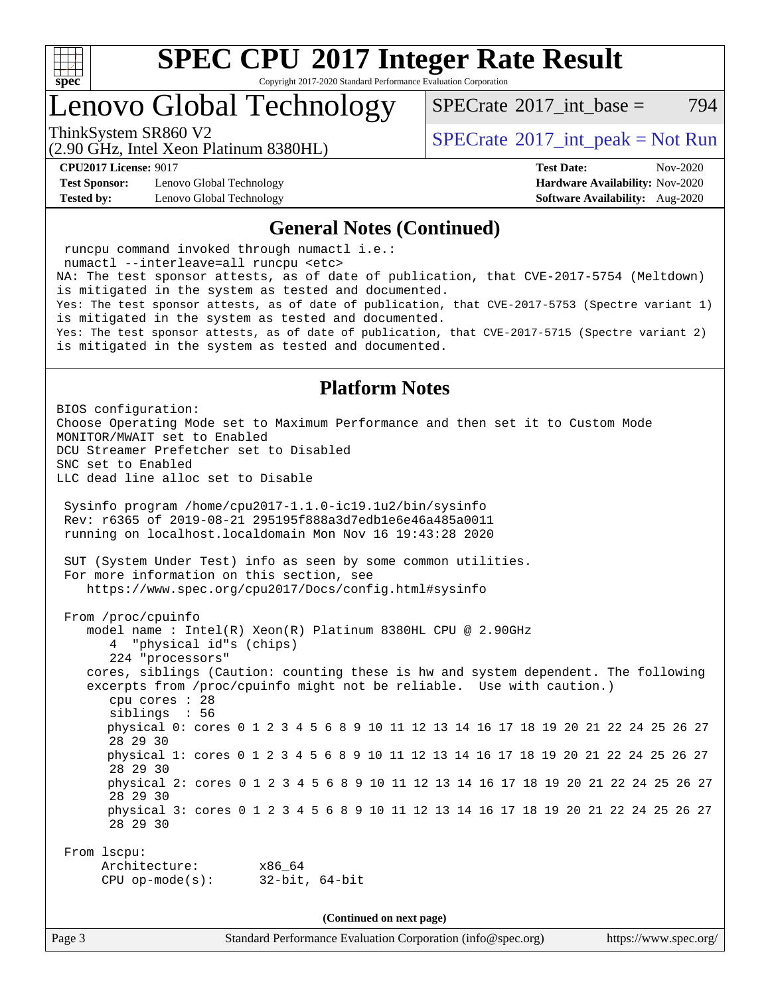

Copyright 2017-2020 Standard Performance Evaluation Corporation

### Lenovo Global Technology

[SPECrate](http://www.spec.org/auto/cpu2017/Docs/result-fields.html#SPECrate2017intbase)<sup>®</sup>2017 int base = 794

(2.90 GHz, Intel Xeon Platinum 8380HL)

ThinkSystem SR860 V2<br>  $\begin{array}{c} \text{SPECrate} \textcirc 2017\_int\_peak = Not Run \end{array}$  $\begin{array}{c} \text{SPECrate} \textcirc 2017\_int\_peak = Not Run \end{array}$  $\begin{array}{c} \text{SPECrate} \textcirc 2017\_int\_peak = Not Run \end{array}$ 

**[Test Sponsor:](http://www.spec.org/auto/cpu2017/Docs/result-fields.html#TestSponsor)** Lenovo Global Technology **[Hardware Availability:](http://www.spec.org/auto/cpu2017/Docs/result-fields.html#HardwareAvailability)** Nov-2020 **[Tested by:](http://www.spec.org/auto/cpu2017/Docs/result-fields.html#Testedby)** Lenovo Global Technology **[Software Availability:](http://www.spec.org/auto/cpu2017/Docs/result-fields.html#SoftwareAvailability)** Aug-2020

**[CPU2017 License:](http://www.spec.org/auto/cpu2017/Docs/result-fields.html#CPU2017License)** 9017 **[Test Date:](http://www.spec.org/auto/cpu2017/Docs/result-fields.html#TestDate)** Nov-2020

#### **[General Notes \(Continued\)](http://www.spec.org/auto/cpu2017/Docs/result-fields.html#GeneralNotes)**

 runcpu command invoked through numactl i.e.: numactl --interleave=all runcpu <etc> NA: The test sponsor attests, as of date of publication, that CVE-2017-5754 (Meltdown) is mitigated in the system as tested and documented. Yes: The test sponsor attests, as of date of publication, that CVE-2017-5753 (Spectre variant 1) is mitigated in the system as tested and documented. Yes: The test sponsor attests, as of date of publication, that CVE-2017-5715 (Spectre variant 2) is mitigated in the system as tested and documented. **[Platform Notes](http://www.spec.org/auto/cpu2017/Docs/result-fields.html#PlatformNotes)** BIOS configuration: Choose Operating Mode set to Maximum Performance and then set it to Custom Mode MONITOR/MWAIT set to Enabled DCU Streamer Prefetcher set to Disabled SNC set to Enabled LLC dead line alloc set to Disable Sysinfo program /home/cpu2017-1.1.0-ic19.1u2/bin/sysinfo Rev: r6365 of 2019-08-21 295195f888a3d7edb1e6e46a485a0011 running on localhost.localdomain Mon Nov 16 19:43:28 2020 SUT (System Under Test) info as seen by some common utilities. For more information on this section, see <https://www.spec.org/cpu2017/Docs/config.html#sysinfo> From /proc/cpuinfo model name : Intel(R) Xeon(R) Platinum 8380HL CPU @ 2.90GHz 4 "physical id"s (chips) 224 "processors" cores, siblings (Caution: counting these is hw and system dependent. The following excerpts from /proc/cpuinfo might not be reliable. Use with caution.) cpu cores : 28 siblings : 56 physical 0: cores 0 1 2 3 4 5 6 8 9 10 11 12 13 14 16 17 18 19 20 21 22 24 25 26 27 28 29 30 physical 1: cores 0 1 2 3 4 5 6 8 9 10 11 12 13 14 16 17 18 19 20 21 22 24 25 26 27 28 29 30 physical 2: cores 0 1 2 3 4 5 6 8 9 10 11 12 13 14 16 17 18 19 20 21 22 24 25 26 27 28 29 30 physical 3: cores 0 1 2 3 4 5 6 8 9 10 11 12 13 14 16 17 18 19 20 21 22 24 25 26 27 28 29 30 From lscpu: Architecture: x86\_64 CPU op-mode(s): 32-bit, 64-bit **(Continued on next page)**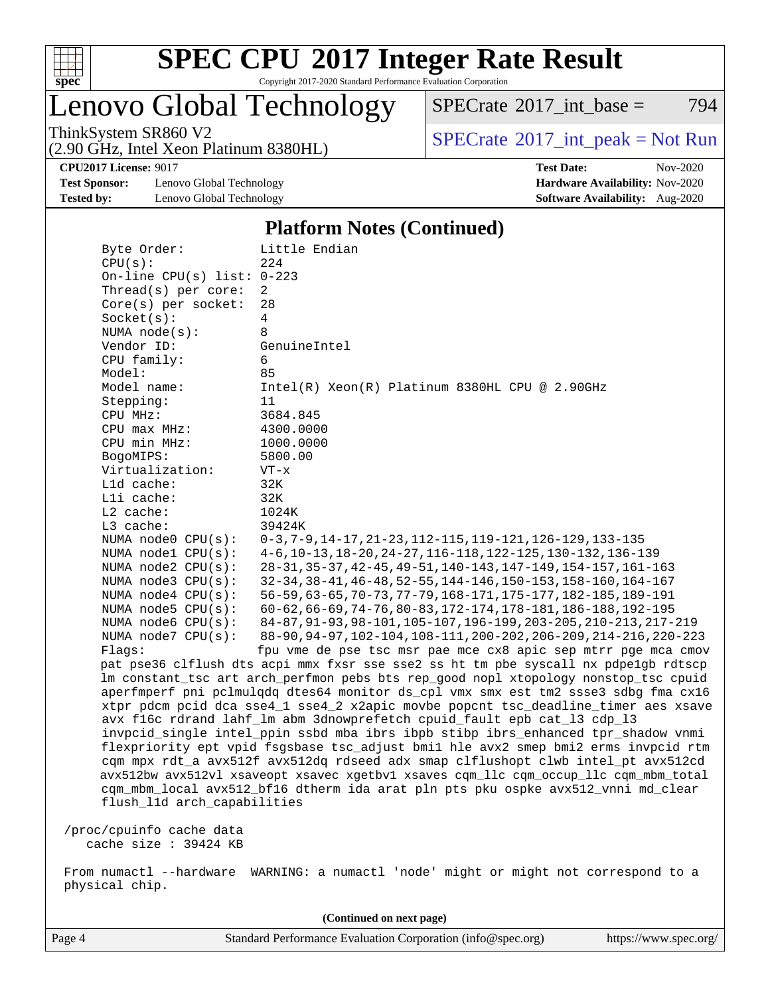

Copyright 2017-2020 Standard Performance Evaluation Corporation

Lenovo Global Technology

 $SPECTate$ <sup>®</sup>[2017\\_int\\_base =](http://www.spec.org/auto/cpu2017/Docs/result-fields.html#SPECrate2017intbase) 794

(2.90 GHz, Intel Xeon Platinum 8380HL)

ThinkSystem SR860 V2<br>  $\begin{array}{c} \text{SPECrate} \textcirc 2017\_int\_peak = Not Run \end{array}$  $\begin{array}{c} \text{SPECrate} \textcirc 2017\_int\_peak = Not Run \end{array}$  $\begin{array}{c} \text{SPECrate} \textcirc 2017\_int\_peak = Not Run \end{array}$ 

**[CPU2017 License:](http://www.spec.org/auto/cpu2017/Docs/result-fields.html#CPU2017License)** 9017 **[Test Date:](http://www.spec.org/auto/cpu2017/Docs/result-fields.html#TestDate)** Nov-2020

**[Test Sponsor:](http://www.spec.org/auto/cpu2017/Docs/result-fields.html#TestSponsor)** Lenovo Global Technology **[Hardware Availability:](http://www.spec.org/auto/cpu2017/Docs/result-fields.html#HardwareAvailability)** Nov-2020 **[Tested by:](http://www.spec.org/auto/cpu2017/Docs/result-fields.html#Testedby)** Lenovo Global Technology **[Software Availability:](http://www.spec.org/auto/cpu2017/Docs/result-fields.html#SoftwareAvailability)** Aug-2020

### **[Platform Notes \(Continued\)](http://www.spec.org/auto/cpu2017/Docs/result-fields.html#PlatformNotes)**

| Byte Order:                  | Little Endian                                                                                                                                                                                                                                                                                                      |
|------------------------------|--------------------------------------------------------------------------------------------------------------------------------------------------------------------------------------------------------------------------------------------------------------------------------------------------------------------|
| CPU(s):                      | 224                                                                                                                                                                                                                                                                                                                |
| On-line CPU(s) list: $0-223$ |                                                                                                                                                                                                                                                                                                                    |
| Thread(s) per core:          | $\overline{2}$                                                                                                                                                                                                                                                                                                     |
| Core(s) per socket:          | 28                                                                                                                                                                                                                                                                                                                 |
| Socket(s):                   | $\overline{4}$                                                                                                                                                                                                                                                                                                     |
| NUMA $node(s):$              | 8                                                                                                                                                                                                                                                                                                                  |
| Vendor ID:                   | GenuineIntel                                                                                                                                                                                                                                                                                                       |
| CPU family:                  | 6                                                                                                                                                                                                                                                                                                                  |
| Model:                       | 85                                                                                                                                                                                                                                                                                                                 |
| Model name:                  | Intel(R) Xeon(R) Platinum 8380HL CPU @ 2.90GHz                                                                                                                                                                                                                                                                     |
| Stepping:                    | 11                                                                                                                                                                                                                                                                                                                 |
| CPU MHz:                     | 3684.845                                                                                                                                                                                                                                                                                                           |
| CPU max MHz:                 | 4300.0000                                                                                                                                                                                                                                                                                                          |
| CPU min MHz:                 | 1000.0000                                                                                                                                                                                                                                                                                                          |
| BogoMIPS:                    | 5800.00                                                                                                                                                                                                                                                                                                            |
| Virtualization:              | $VT - x$                                                                                                                                                                                                                                                                                                           |
| Lld cache:                   | 32K                                                                                                                                                                                                                                                                                                                |
| Lli cache:                   | 32K                                                                                                                                                                                                                                                                                                                |
| $L2$ cache:                  | 1024K                                                                                                                                                                                                                                                                                                              |
| L3 cache:                    | 39424K                                                                                                                                                                                                                                                                                                             |
| NUMA node0 CPU(s):           | 0-3, 7-9, 14-17, 21-23, 112-115, 119-121, 126-129, 133-135                                                                                                                                                                                                                                                         |
| NUMA $node1$ $CPU(s)$ :      | 4-6, 10-13, 18-20, 24-27, 116-118, 122-125, 130-132, 136-139                                                                                                                                                                                                                                                       |
| NUMA $node2$ $CPU(s)$ :      | 28-31, 35-37, 42-45, 49-51, 140-143, 147-149, 154-157, 161-163                                                                                                                                                                                                                                                     |
| NUMA node3 CPU(s):           | 32-34, 38-41, 46-48, 52-55, 144-146, 150-153, 158-160, 164-167                                                                                                                                                                                                                                                     |
| NUMA node4 CPU(s):           | 56-59, 63-65, 70-73, 77-79, 168-171, 175-177, 182-185, 189-191                                                                                                                                                                                                                                                     |
| NUMA node5 CPU(s):           | 60-62, 66-69, 74-76, 80-83, 172-174, 178-181, 186-188, 192-195                                                                                                                                                                                                                                                     |
| NUMA $node6$ $CPU(s):$       | 84-87, 91-93, 98-101, 105-107, 196-199, 203-205, 210-213, 217-219                                                                                                                                                                                                                                                  |
| NUMA $node7$ CPU $(s)$ :     | 88-90, 94-97, 102-104, 108-111, 200-202, 206-209, 214-216, 220-223                                                                                                                                                                                                                                                 |
| Flaqs:                       | fpu vme de pse tsc msr pae mce cx8 apic sep mtrr pge mca cmov                                                                                                                                                                                                                                                      |
|                              | pat pse36 clflush dts acpi mmx fxsr sse sse2 ss ht tm pbe syscall nx pdpe1gb rdtscp                                                                                                                                                                                                                                |
|                              | lm constant_tsc art arch_perfmon pebs bts rep_good nopl xtopology nonstop_tsc cpuid                                                                                                                                                                                                                                |
|                              | aperfmperf pni pclmulqdq dtes64 monitor ds_cpl vmx smx est tm2 ssse3 sdbg fma cx16                                                                                                                                                                                                                                 |
|                              | xtpr pdcm pcid dca sse4_1 sse4_2 x2apic movbe popcnt tsc_deadline_timer aes xsave                                                                                                                                                                                                                                  |
|                              | avx f16c rdrand lahf_lm abm 3dnowprefetch cpuid_fault epb cat_13 cdp_13                                                                                                                                                                                                                                            |
|                              | invpcid_single intel_ppin ssbd mba ibrs ibpb stibp ibrs_enhanced tpr_shadow vnmi                                                                                                                                                                                                                                   |
|                              | flexpriority ept vpid fsgsbase tsc_adjust bmil hle avx2 smep bmi2 erms invpcid rtm                                                                                                                                                                                                                                 |
|                              | cqm mpx rdt_a avx512f avx512dq rdseed adx smap clflushopt clwb intel_pt avx512cd                                                                                                                                                                                                                                   |
|                              | avx512bw avx512vl xsaveopt xsavec xgetbvl xsaves cqm_llc cqm_occup_llc cqm_mbm_total                                                                                                                                                                                                                               |
|                              | cqm_mbm_local avx512_bf16 dtherm ida arat pln pts pku ospke avx512_vnni md_clear                                                                                                                                                                                                                                   |
| flush_11d arch_capabilities  |                                                                                                                                                                                                                                                                                                                    |
| /proc/cpuinfo cache data     |                                                                                                                                                                                                                                                                                                                    |
| cache size : 39424 KB        |                                                                                                                                                                                                                                                                                                                    |
|                              |                                                                                                                                                                                                                                                                                                                    |
|                              | $\ldots$ and $\mathbf{1}$ are $\mathbf{1}$ and $\mathbf{1}$ are $\mathbf{1}$ are $\mathbf{1}$ and $\mathbf{1}$ are $\mathbf{1}$ and $\mathbf{1}$ are $\mathbf{1}$ and $\mathbf{1}$ are $\mathbf{1}$ and $\mathbf{1}$ are $\mathbf{1}$ and $\mathbf{1}$ are $\mathbf{1}$ and $\mathbf{1}$ are $\math$<br>. <u>.</u> |

 From numactl --hardware WARNING: a numactl 'node' might or might not correspond to a physical chip.

**(Continued on next page)**

Page 4 Standard Performance Evaluation Corporation [\(info@spec.org\)](mailto:info@spec.org) <https://www.spec.org/>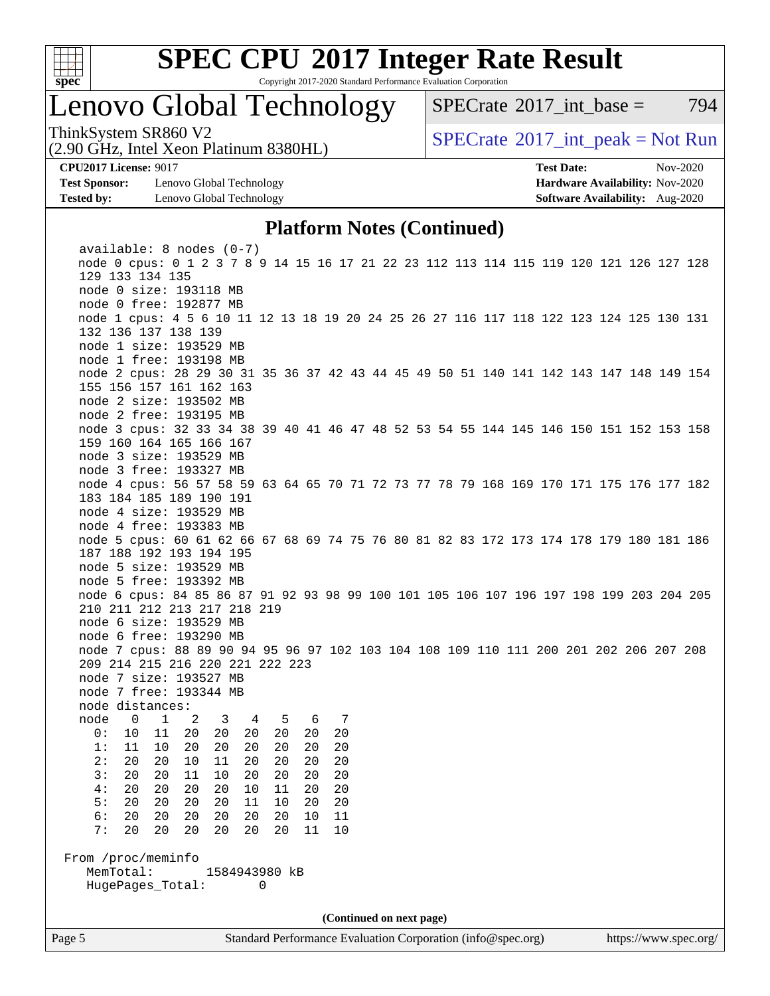

Copyright 2017-2020 Standard Performance Evaluation Corporation

## Lenovo Global Technology

 $SPECTate^{\circ}2017$  int base = 794

(2.90 GHz, Intel Xeon Platinum 8380HL)

ThinkSystem SR860 V2<br>  $\begin{array}{c} \text{SPECrate} \textcirc 2017\_int\_peak = Not Run \end{array}$  $\begin{array}{c} \text{SPECrate} \textcirc 2017\_int\_peak = Not Run \end{array}$  $\begin{array}{c} \text{SPECrate} \textcirc 2017\_int\_peak = Not Run \end{array}$ 

**[Test Sponsor:](http://www.spec.org/auto/cpu2017/Docs/result-fields.html#TestSponsor)** Lenovo Global Technology **[Hardware Availability:](http://www.spec.org/auto/cpu2017/Docs/result-fields.html#HardwareAvailability)** Nov-2020 **[Tested by:](http://www.spec.org/auto/cpu2017/Docs/result-fields.html#Testedby)** Lenovo Global Technology **[Software Availability:](http://www.spec.org/auto/cpu2017/Docs/result-fields.html#SoftwareAvailability)** Aug-2020

**[CPU2017 License:](http://www.spec.org/auto/cpu2017/Docs/result-fields.html#CPU2017License)** 9017 **[Test Date:](http://www.spec.org/auto/cpu2017/Docs/result-fields.html#TestDate)** Nov-2020

#### **[Platform Notes \(Continued\)](http://www.spec.org/auto/cpu2017/Docs/result-fields.html#PlatformNotes)**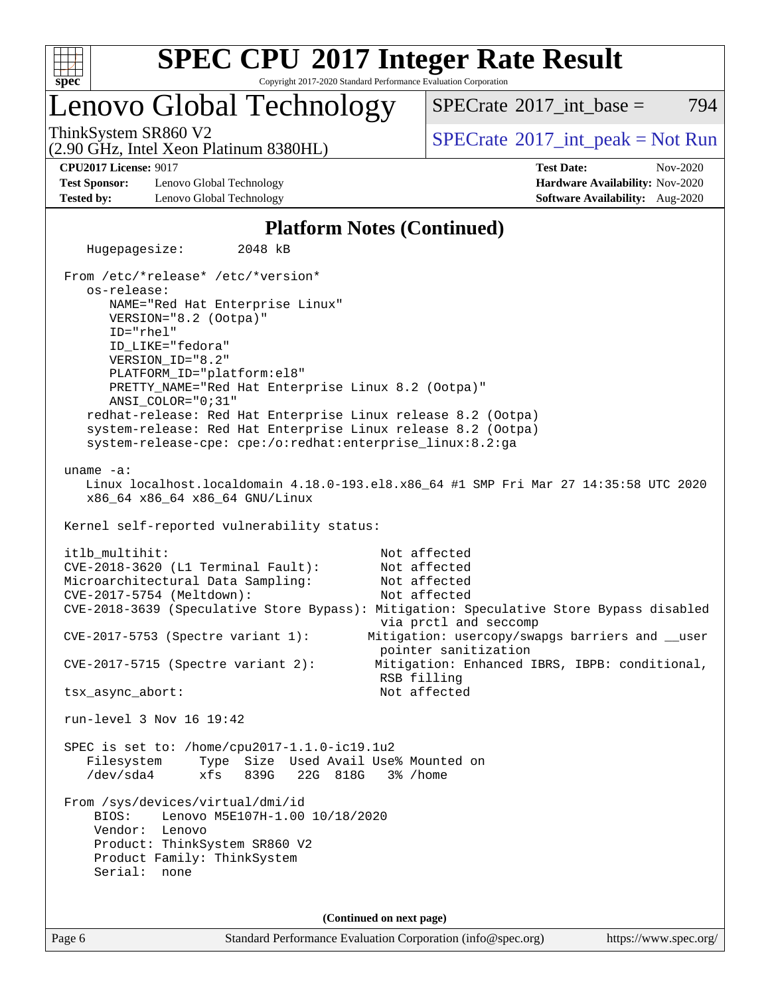

Copyright 2017-2020 Standard Performance Evaluation Corporation

### Lenovo Global Technology

 $SPECTate^{\circ}2017$  int base = 794

(2.90 GHz, Intel Xeon Platinum 8380HL)

ThinkSystem SR860 V2<br>  $\begin{array}{c} \text{SPECrate} \textcirc 2017\_int\_peak = Not Run \end{array}$  $\begin{array}{c} \text{SPECrate} \textcirc 2017\_int\_peak = Not Run \end{array}$  $\begin{array}{c} \text{SPECrate} \textcirc 2017\_int\_peak = Not Run \end{array}$ 

**[Test Sponsor:](http://www.spec.org/auto/cpu2017/Docs/result-fields.html#TestSponsor)** Lenovo Global Technology **[Hardware Availability:](http://www.spec.org/auto/cpu2017/Docs/result-fields.html#HardwareAvailability)** Nov-2020 **[Tested by:](http://www.spec.org/auto/cpu2017/Docs/result-fields.html#Testedby)** Lenovo Global Technology **[Software Availability:](http://www.spec.org/auto/cpu2017/Docs/result-fields.html#SoftwareAvailability)** Aug-2020

**[CPU2017 License:](http://www.spec.org/auto/cpu2017/Docs/result-fields.html#CPU2017License)** 9017 **[Test Date:](http://www.spec.org/auto/cpu2017/Docs/result-fields.html#TestDate)** Nov-2020

### **[Platform Notes \(Continued\)](http://www.spec.org/auto/cpu2017/Docs/result-fields.html#PlatformNotes)**

Page 6 Standard Performance Evaluation Corporation [\(info@spec.org\)](mailto:info@spec.org) <https://www.spec.org/> Hugepagesize: 2048 kB From /etc/\*release\* /etc/\*version\* os-release: NAME="Red Hat Enterprise Linux" VERSION="8.2 (Ootpa)" ID="rhel" ID\_LIKE="fedora" VERSION\_ID="8.2" PLATFORM\_ID="platform:el8" PRETTY\_NAME="Red Hat Enterprise Linux 8.2 (Ootpa)" ANSI\_COLOR="0;31" redhat-release: Red Hat Enterprise Linux release 8.2 (Ootpa) system-release: Red Hat Enterprise Linux release 8.2 (Ootpa) system-release-cpe: cpe:/o:redhat:enterprise\_linux:8.2:ga uname -a: Linux localhost.localdomain 4.18.0-193.el8.x86\_64 #1 SMP Fri Mar 27 14:35:58 UTC 2020 x86\_64 x86\_64 x86\_64 GNU/Linux Kernel self-reported vulnerability status: itlb\_multihit: Not affected CVE-2018-3620 (L1 Terminal Fault): Not affected Microarchitectural Data Sampling: Not affected CVE-2017-5754 (Meltdown): Not affected CVE-2018-3639 (Speculative Store Bypass): Mitigation: Speculative Store Bypass disabled via prctl and seccomp CVE-2017-5753 (Spectre variant 1): Mitigation: usercopy/swapgs barriers and \_\_user pointer sanitization CVE-2017-5715 (Spectre variant 2): Mitigation: Enhanced IBRS, IBPB: conditional, RSB filling tsx\_async\_abort: Not affected run-level 3 Nov 16 19:42 SPEC is set to: /home/cpu2017-1.1.0-ic19.1u2 Filesystem Type Size Used Avail Use% Mounted on /dev/sda4 xfs 839G 22G 818G 3% /home From /sys/devices/virtual/dmi/id BIOS: Lenovo M5E107H-1.00 10/18/2020 Vendor: Lenovo Product: ThinkSystem SR860 V2 Product Family: ThinkSystem Serial: none **(Continued on next page)**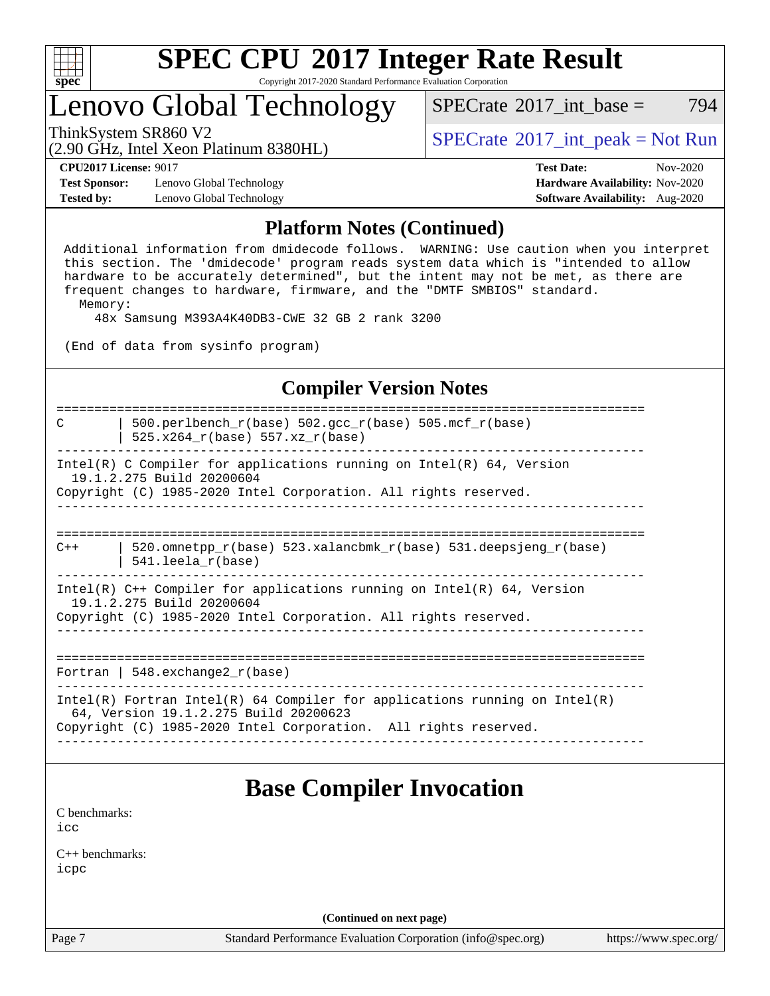

Copyright 2017-2020 Standard Performance Evaluation Corporation

## Lenovo Global Technology

ThinkSystem SR860 V2<br>  $\begin{array}{c} \text{SPECTR} = \text{Not Run} \\ \text{SPECTR} = \text{Not Run} \end{array}$  $SPECTate^{\circ}2017$  int base = 794

(2.90 GHz, Intel Xeon Platinum 8380HL)

**[Test Sponsor:](http://www.spec.org/auto/cpu2017/Docs/result-fields.html#TestSponsor)** Lenovo Global Technology **[Hardware Availability:](http://www.spec.org/auto/cpu2017/Docs/result-fields.html#HardwareAvailability)** Nov-2020 **[Tested by:](http://www.spec.org/auto/cpu2017/Docs/result-fields.html#Testedby)** Lenovo Global Technology **[Software Availability:](http://www.spec.org/auto/cpu2017/Docs/result-fields.html#SoftwareAvailability)** Aug-2020

**[CPU2017 License:](http://www.spec.org/auto/cpu2017/Docs/result-fields.html#CPU2017License)** 9017 **[Test Date:](http://www.spec.org/auto/cpu2017/Docs/result-fields.html#TestDate)** Nov-2020

### **[Platform Notes \(Continued\)](http://www.spec.org/auto/cpu2017/Docs/result-fields.html#PlatformNotes)**

 Additional information from dmidecode follows. WARNING: Use caution when you interpret this section. The 'dmidecode' program reads system data which is "intended to allow hardware to be accurately determined", but the intent may not be met, as there are frequent changes to hardware, firmware, and the "DMTF SMBIOS" standard. Memory:

48x Samsung M393A4K40DB3-CWE 32 GB 2 rank 3200

(End of data from sysinfo program)

### **[Compiler Version Notes](http://www.spec.org/auto/cpu2017/Docs/result-fields.html#CompilerVersionNotes)**

============================================================================== C | 500.perlbench r(base) 502.gcc r(base) 505.mcf r(base) | 525.x264\_r(base) 557.xz\_r(base) ------------------------------------------------------------------------------ Intel(R) C Compiler for applications running on Intel(R)  $64$ , Version 19.1.2.275 Build 20200604 Copyright (C) 1985-2020 Intel Corporation. All rights reserved. ------------------------------------------------------------------------------ ============================================================================== C++  $\vert$  520.omnetpp  $r(base)$  523.xalancbmk  $r(base)$  531.deepsjeng  $r(base)$  | 541.leela\_r(base) ------------------------------------------------------------------------------ Intel(R) C++ Compiler for applications running on Intel(R) 64, Version 19.1.2.275 Build 20200604 Copyright (C) 1985-2020 Intel Corporation. All rights reserved. ------------------------------------------------------------------------------ ============================================================================== Fortran | 548.exchange2  $r(base)$ ------------------------------------------------------------------------------ Intel(R) Fortran Intel(R) 64 Compiler for applications running on Intel(R) 64, Version 19.1.2.275 Build 20200623 Copyright (C) 1985-2020 Intel Corporation. All rights reserved. ------------------------------------------------------------------------------ **[Base Compiler Invocation](http://www.spec.org/auto/cpu2017/Docs/result-fields.html#BaseCompilerInvocation)** [C benchmarks](http://www.spec.org/auto/cpu2017/Docs/result-fields.html#Cbenchmarks): [icc](http://www.spec.org/cpu2017/results/res2020q4/cpu2017-20201123-24481.flags.html#user_CCbase_intel_icc_66fc1ee009f7361af1fbd72ca7dcefbb700085f36577c54f309893dd4ec40d12360134090235512931783d35fd58c0460139e722d5067c5574d8eaf2b3e37e92) [C++ benchmarks:](http://www.spec.org/auto/cpu2017/Docs/result-fields.html#CXXbenchmarks) [icpc](http://www.spec.org/cpu2017/results/res2020q4/cpu2017-20201123-24481.flags.html#user_CXXbase_intel_icpc_c510b6838c7f56d33e37e94d029a35b4a7bccf4766a728ee175e80a419847e808290a9b78be685c44ab727ea267ec2f070ec5dc83b407c0218cded6866a35d07)

**(Continued on next page)**

Page 7 Standard Performance Evaluation Corporation [\(info@spec.org\)](mailto:info@spec.org) <https://www.spec.org/>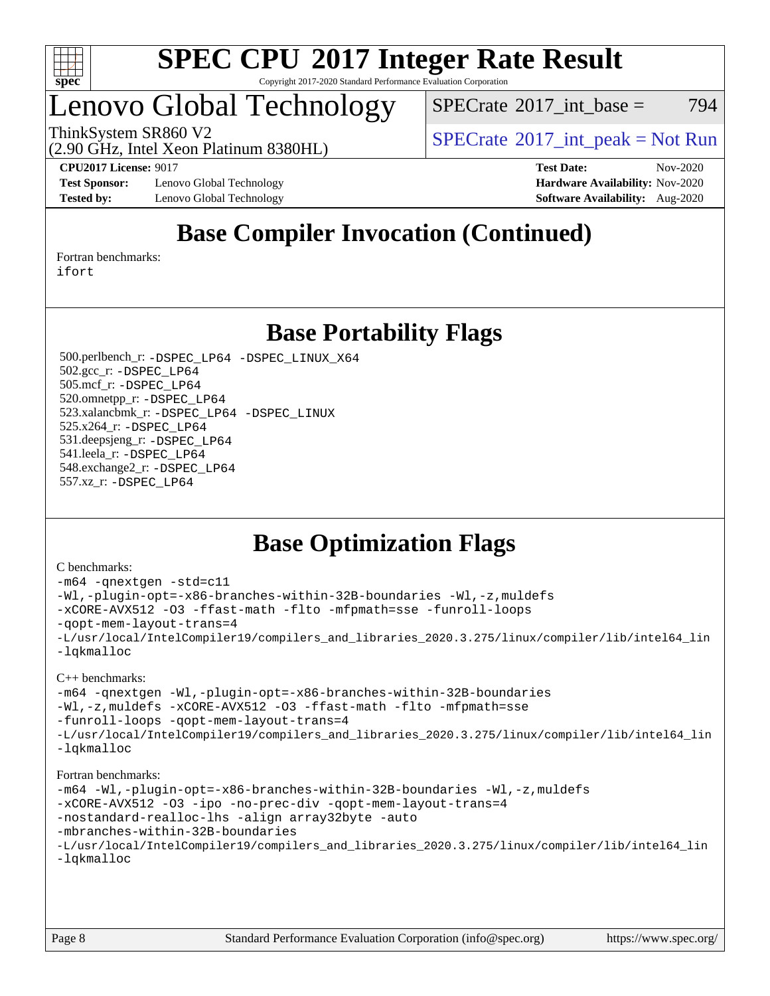

Copyright 2017-2020 Standard Performance Evaluation Corporation

## Lenovo Global Technology

 $SPECrate^{\circledcirc}2017\_int\_base = 794$  $SPECrate^{\circledcirc}2017\_int\_base = 794$ 

(2.90 GHz, Intel Xeon Platinum 8380HL) ThinkSystem SR860 V2  $\begin{array}{c} | \text{SPECrate}^{\circ}2017 \text{ int } \text{peak} = \text{Not Run} \end{array}$  $\begin{array}{c} | \text{SPECrate}^{\circ}2017 \text{ int } \text{peak} = \text{Not Run} \end{array}$  $\begin{array}{c} | \text{SPECrate}^{\circ}2017 \text{ int } \text{peak} = \text{Not Run} \end{array}$ 

**[Test Sponsor:](http://www.spec.org/auto/cpu2017/Docs/result-fields.html#TestSponsor)** Lenovo Global Technology **[Hardware Availability:](http://www.spec.org/auto/cpu2017/Docs/result-fields.html#HardwareAvailability)** Nov-2020 **[Tested by:](http://www.spec.org/auto/cpu2017/Docs/result-fields.html#Testedby)** Lenovo Global Technology **[Software Availability:](http://www.spec.org/auto/cpu2017/Docs/result-fields.html#SoftwareAvailability)** Aug-2020

**[CPU2017 License:](http://www.spec.org/auto/cpu2017/Docs/result-fields.html#CPU2017License)** 9017 **[Test Date:](http://www.spec.org/auto/cpu2017/Docs/result-fields.html#TestDate)** Nov-2020

### **[Base Compiler Invocation \(Continued\)](http://www.spec.org/auto/cpu2017/Docs/result-fields.html#BaseCompilerInvocation)**

[Fortran benchmarks](http://www.spec.org/auto/cpu2017/Docs/result-fields.html#Fortranbenchmarks): [ifort](http://www.spec.org/cpu2017/results/res2020q4/cpu2017-20201123-24481.flags.html#user_FCbase_intel_ifort_8111460550e3ca792625aed983ce982f94888b8b503583aa7ba2b8303487b4d8a21a13e7191a45c5fd58ff318f48f9492884d4413fa793fd88dd292cad7027ca)

**[Base Portability Flags](http://www.spec.org/auto/cpu2017/Docs/result-fields.html#BasePortabilityFlags)**

 500.perlbench\_r: [-DSPEC\\_LP64](http://www.spec.org/cpu2017/results/res2020q4/cpu2017-20201123-24481.flags.html#b500.perlbench_r_basePORTABILITY_DSPEC_LP64) [-DSPEC\\_LINUX\\_X64](http://www.spec.org/cpu2017/results/res2020q4/cpu2017-20201123-24481.flags.html#b500.perlbench_r_baseCPORTABILITY_DSPEC_LINUX_X64) 502.gcc\_r: [-DSPEC\\_LP64](http://www.spec.org/cpu2017/results/res2020q4/cpu2017-20201123-24481.flags.html#suite_basePORTABILITY502_gcc_r_DSPEC_LP64) 505.mcf\_r: [-DSPEC\\_LP64](http://www.spec.org/cpu2017/results/res2020q4/cpu2017-20201123-24481.flags.html#suite_basePORTABILITY505_mcf_r_DSPEC_LP64) 520.omnetpp\_r: [-DSPEC\\_LP64](http://www.spec.org/cpu2017/results/res2020q4/cpu2017-20201123-24481.flags.html#suite_basePORTABILITY520_omnetpp_r_DSPEC_LP64) 523.xalancbmk\_r: [-DSPEC\\_LP64](http://www.spec.org/cpu2017/results/res2020q4/cpu2017-20201123-24481.flags.html#suite_basePORTABILITY523_xalancbmk_r_DSPEC_LP64) [-DSPEC\\_LINUX](http://www.spec.org/cpu2017/results/res2020q4/cpu2017-20201123-24481.flags.html#b523.xalancbmk_r_baseCXXPORTABILITY_DSPEC_LINUX) 525.x264\_r: [-DSPEC\\_LP64](http://www.spec.org/cpu2017/results/res2020q4/cpu2017-20201123-24481.flags.html#suite_basePORTABILITY525_x264_r_DSPEC_LP64) 531.deepsjeng\_r: [-DSPEC\\_LP64](http://www.spec.org/cpu2017/results/res2020q4/cpu2017-20201123-24481.flags.html#suite_basePORTABILITY531_deepsjeng_r_DSPEC_LP64) 541.leela\_r: [-DSPEC\\_LP64](http://www.spec.org/cpu2017/results/res2020q4/cpu2017-20201123-24481.flags.html#suite_basePORTABILITY541_leela_r_DSPEC_LP64) 548.exchange2\_r: [-DSPEC\\_LP64](http://www.spec.org/cpu2017/results/res2020q4/cpu2017-20201123-24481.flags.html#suite_basePORTABILITY548_exchange2_r_DSPEC_LP64) 557.xz\_r: [-DSPEC\\_LP64](http://www.spec.org/cpu2017/results/res2020q4/cpu2017-20201123-24481.flags.html#suite_basePORTABILITY557_xz_r_DSPEC_LP64)

### **[Base Optimization Flags](http://www.spec.org/auto/cpu2017/Docs/result-fields.html#BaseOptimizationFlags)**

#### [C benchmarks](http://www.spec.org/auto/cpu2017/Docs/result-fields.html#Cbenchmarks):

```
-m64 -qnextgen -std=c11
-Wl,-plugin-opt=-x86-branches-within-32B-boundaries -Wl,-z,muldefs
-xCORE-AVX512 -O3 -ffast-math -flto -mfpmath=sse -funroll-loops
-qopt-mem-layout-trans=4
-L/usr/local/IntelCompiler19/compilers_and_libraries_2020.3.275/linux/compiler/lib/intel64_lin
-lqkmalloc
```
#### [C++ benchmarks](http://www.spec.org/auto/cpu2017/Docs/result-fields.html#CXXbenchmarks):

```
-m64 -qnextgen -Wl,-plugin-opt=-x86-branches-within-32B-boundaries
-Wl,-z,muldefs -xCORE-AVX512 -O3 -ffast-math -flto -mfpmath=sse
-funroll-loops -qopt-mem-layout-trans=4
-L/usr/local/IntelCompiler19/compilers_and_libraries_2020.3.275/linux/compiler/lib/intel64_lin
-lqkmalloc
```
#### [Fortran benchmarks:](http://www.spec.org/auto/cpu2017/Docs/result-fields.html#Fortranbenchmarks)

```
-m64 -Wl,-plugin-opt=-x86-branches-within-32B-boundaries -Wl,-z,muldefs
-xCORE-AVX512 -O3 -ipo -no-prec-div -qopt-mem-layout-trans=4
-nostandard-realloc-lhs -align array32byte -auto
-mbranches-within-32B-boundaries
-L/usr/local/IntelCompiler19/compilers_and_libraries_2020.3.275/linux/compiler/lib/intel64_lin
-lqkmalloc
```